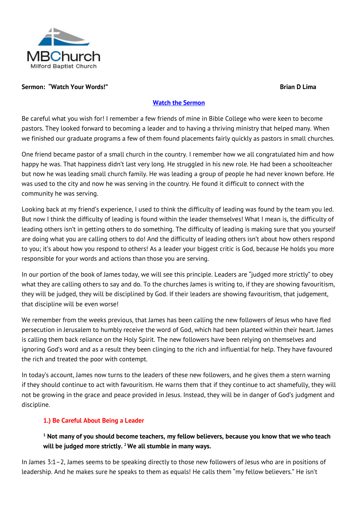

#### **Sermon: "Watch Your Words!" Brian D Lima**

#### **[Watch the Sermon](http://www.viewpure.com/bJkk9L4DRlI?start=0&end=0)**

Be careful what you wish for! I remember a few friends of mine in Bible College who were keen to become pastors. They looked forward to becoming a leader and to having a thriving ministry that helped many. When we finished our graduate programs a few of them found placements fairly quickly as pastors in small churches.

One friend became pastor of a small church in the country. I remember how we all congratulated him and how happy he was. That happiness didn't last very long. He struggled in his new role. He had been a schoolteacher but now he was leading small church family. He was leading a group of people he had never known before. He was used to the city and now he was serving in the country. He found it difficult to connect with the community he was serving.

Looking back at my friend's experience, I used to think the difficulty of leading was found by the team you led. But now I think the difficulty of leading is found within the leader themselves! What I mean is, the difficulty of leading others isn't in getting others to do something. The difficulty of leading is making sure that you yourself are doing what you are calling others to do! And the difficulty of leading others isn't about how others respond to you; it's about how you respond to others! As a leader your biggest critic is God, because He holds you more responsible for your words and actions than those you are serving.

In our portion of the book of James today, we will see this principle. Leaders are "judged more strictly" to obey what they are calling others to say and do. To the churches James is writing to, if they are showing favouritism, they will be judged, they will be disciplined by God. If their leaders are showing favouritism, that judgement, that discipline will be even worse!

We remember from the weeks previous, that James has been calling the new followers of Jesus who have fled persecution in Jerusalem to humbly receive the word of God, which had been planted within their heart. James is calling them back reliance on the Holy Spirit. The new followers have been relying on themselves and ignoring God's word and as a result they been clinging to the rich and influential for help. They have favoured the rich and treated the poor with contempt.

In today's account, James now turns to the leaders of these new followers, and he gives them a stern warning if they should continue to act with favouritism. He warns them that if they continue to act shamefully, they will not be growing in the grace and peace provided in Jesus. Instead, they will be in danger of God's judgment and discipline.

### **1.) Be Careful About Being a Leader**

# **<sup>1</sup> Not many of you should become teachers, my fellow believers, because you know that we who teach will be judged more strictly. <sup>2</sup> We all stumble in many ways.**

In James 3:1–2, James seems to be speaking directly to those new followers of Jesus who are in positions of leadership. And he makes sure he speaks to them as equals! He calls them "my fellow believers." He isn't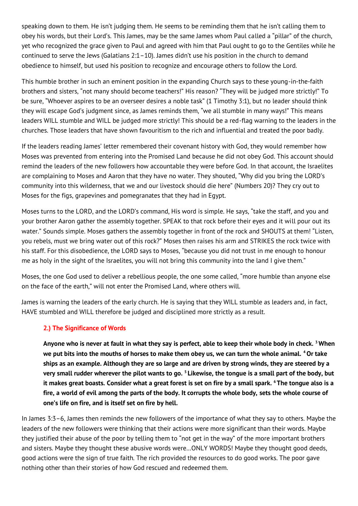speaking down to them. He isn't judging them. He seems to be reminding them that he isn't calling them to obey his words, but their Lord's. This James, may be the same James whom Paul called a "pillar" of the church, yet who recognized the grace given to Paul and agreed with him that Paul ought to go to the Gentiles while he continued to serve the Jews (Galatians 2:1–10). James didn't use his position in the church to demand obedience to himself, but used his position to recognize and encourage others to follow the Lord.

This humble brother in such an eminent position in the expanding Church says to these young-in-the-faith brothers and sisters, "not many should become teachers!" His reason? "They will be judged more strictly!" To be sure, "Whoever aspires to be an overseer desires a noble task" (1 Timothy 3:1), but no leader should think they will escape God's judgment since, as James reminds them, "we all stumble in many ways!" This means leaders WILL stumble and WILL be judged more strictly! This should be a red-flag warning to the leaders in the churches. Those leaders that have shown favouritism to the rich and influential and treated the poor badly.

If the leaders reading James' letter remembered their covenant history with God, they would remember how Moses was prevented from entering into the Promised Land because he did not obey God. This account should remind the leaders of the new followers how accountable they were before God. In that account, the Israelites are complaining to Moses and Aaron that they have no water. They shouted, "Why did you bring the LORD's community into this wilderness, that we and our livestock should die here" (Numbers 20)? They cry out to Moses for the figs, grapevines and pomegranates that they had in Egypt.

Moses turns to the LORD, and the LORD's command, His word is simple. He says, "take the staff, and you and your brother Aaron gather the assembly together. SPEAK to that rock before their eyes and it will pour out its water." Sounds simple. Moses gathers the assembly together in front of the rock and SHOUTS at them! "Listen, you rebels, must we bring water out of this rock?" Moses then raises his arm and STRIKES the rock twice with his staff. For this disobedience, the LORD says to Moses, "because you did not trust in me enough to honour me as holy in the sight of the Israelites, you will not bring this community into the land I give them."

Moses, the one God used to deliver a rebellious people, the one some called, "more humble than anyone else on the face of the earth," will not enter the Promised Land, where others will.

James is warning the leaders of the early church. He is saying that they WILL stumble as leaders and, in fact, HAVE stumbled and WILL therefore be judged and disciplined more strictly as a result.

### **2.) The Significance of Words**

**Anyone who is never at fault in what they say is perfect, able to keep their whole body in check. <sup>3</sup> When we put bits into the mouths of horses to make them obey us, we can turn the whole animal. <sup>4</sup>Or take ships as an example. Although they are so large and are driven by strong winds, they are steered by a very small rudder wherever the pilot wants to go. <sup>5</sup> Likewise, the tongue is a small part of the body, but it makes great boasts. Consider what a great forest is set on fire by a small spark. <sup>6</sup> The tongue also is a fire, a world of evil among the parts of the body. It corrupts the whole body, sets the whole course of one's life on fire, and is itself set on fire by hell.**

In James 3:3–6, James then reminds the new followers of the importance of what they say to others. Maybe the leaders of the new followers were thinking that their actions were more significant than their words. Maybe they justified their abuse of the poor by telling them to "not get in the way" of the more important brothers and sisters. Maybe they thought these abusive words were…ONLY WORDS! Maybe they thought good deeds, good actions were the sign of true faith. The rich provided the resources to do good works. The poor gave nothing other than their stories of how God rescued and redeemed them.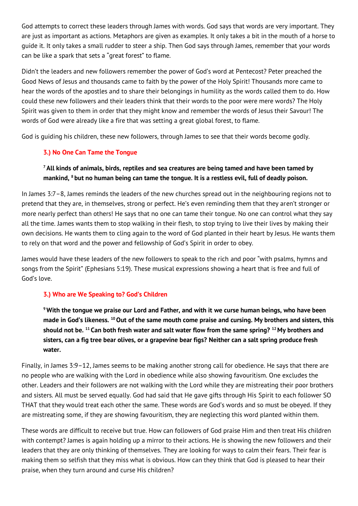God attempts to correct these leaders through James with words. God says that words are very important. They are just as important as actions. Metaphors are given as examples. It only takes a bit in the mouth of a horse to guide it. It only takes a small rudder to steer a ship. Then God says through James, remember that your words can be like a spark that sets a "great forest" to flame.

Didn't the leaders and new followers remember the power of God's word at Pentecost? Peter preached the Good News of Jesus and thousands came to faith by the power of the Holy Spirit! Thousands more came to hear the words of the apostles and to share their belongings in humility as the words called them to do. How could these new followers and their leaders think that their words to the poor were mere words? The Holy Spirit was given to them in order that they might know and remember the words of Jesus their Savour! The words of God were already like a fire that was setting a great global forest, to flame.

God is guiding his children, these new followers, through James to see that their words become godly.

## **3.) No One Can Tame the Tongue**

# **<sup>7</sup>All kinds of animals, birds, reptiles and sea creatures are being tamed and have been tamed by mankind, <sup>8</sup> but no human being can tame the tongue. It is a restless evil, full of deadly poison.**

In James 3:7–8, James reminds the leaders of the new churches spread out in the neighbouring regions not to pretend that they are, in themselves, strong or perfect. He's even reminding them that they aren't stronger or more nearly perfect than others! He says that no one can tame their tongue. No one can control what they say all the time. James wants them to stop walking in their flesh, to stop trying to live their lives by making their own decisions. He wants them to cling again to the word of God planted in their heart by Jesus. He wants them to rely on that word and the power and fellowship of God's Spirit in order to obey.

James would have these leaders of the new followers to speak to the rich and poor "with psalms, hymns and songs from the Spirit" (Ephesians 5:19). These musical expressions showing a heart that is free and full of God's love.

## **3.) Who are We Speaking to? God's Children**

**<sup>9</sup> With the tongue we praise our Lord and Father, and with it we curse human beings, who have been made in God's likeness. <sup>10</sup>Out of the same mouth come praise and cursing. My brothers and sisters, this should not be. <sup>11</sup> Can both fresh water and salt water flow from the same spring? <sup>12</sup> My brothers and sisters, can a fig tree bear olives, or a grapevine bear figs? Neither can a salt spring produce fresh water.**

Finally, in James 3:9–12, James seems to be making another strong call for obedience. He says that there are no people who are walking with the Lord in obedience while also showing favouritism. One excludes the other. Leaders and their followers are not walking with the Lord while they are mistreating their poor brothers and sisters. All must be served equally. God had said that He gave gifts through His Spirit to each follower SO THAT that they would treat each other the same. These words are God's words and so must be obeyed. If they are mistreating some, if they are showing favouritism, they are neglecting this word planted within them.

These words are difficult to receive but true. How can followers of God praise Him and then treat His children with contempt? James is again holding up a mirror to their actions. He is showing the new followers and their leaders that they are only thinking of themselves. They are looking for ways to calm their fears. Their fear is making them so selfish that they miss what is obvious. How can they think that God is pleased to hear their praise, when they turn around and curse His children?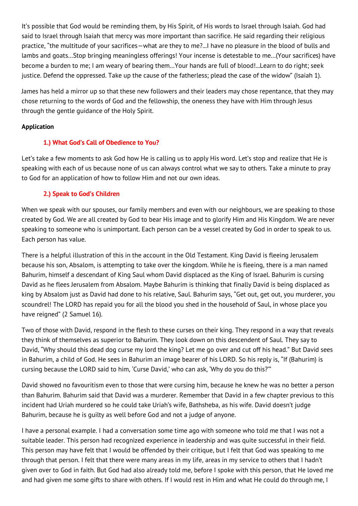It's possible that God would be reminding them, by His Spirit, of His words to Israel through Isaiah. God had said to Israel through Isaiah that mercy was more important than sacrifice. He said regarding their religious practice, "the multitude of your sacrifices—what are they to me?...I have no pleasure in the blood of bulls and lambs and goats…Stop bringing meaningless offerings! Your incense is detestable to me…(Your sacrifices) have become a burden to me; I am weary of bearing them…Your hands are full of blood!...Learn to do right; seek justice. Defend the oppressed. Take up the cause of the fatherless; plead the case of the widow" (Isaiah 1).

James has held a mirror up so that these new followers and their leaders may chose repentance, that they may chose returning to the words of God and the fellowship, the oneness they have with Him through Jesus through the gentle guidance of the Holy Spirit.

## **Application**

## **1.) What God's Call of Obedience to You?**

Let's take a few moments to ask God how He is calling us to apply His word. Let's stop and realize that He is speaking with each of us because none of us can always control what we say to others. Take a minute to pray to God for an application of how to follow Him and not our own ideas.

## **2.) Speak to God's Children**

When we speak with our spouses, our family members and even with our neighbours, we are speaking to those created by God. We are all created by God to bear His image and to glorify Him and His Kingdom. We are never speaking to someone who is unimportant. Each person can be a vessel created by God in order to speak to us. Each person has value.

There is a helpful illustration of this in the account in the Old Testament. King David is fleeing Jerusalem because his son, Absalom, is attempting to take over the kingdom. While he is fleeing, there is a man named Bahurim, himself a descendant of King Saul whom David displaced as the King of Israel. Bahurim is cursing David as he flees Jerusalem from Absalom. Maybe Bahurim is thinking that finally David is being displaced as king by Absalom just as David had done to his relative, Saul. Bahurim says, "Get out, get out, you murderer, you scoundrel! The LORD has repaid you for all the blood you shed in the household of Saul, in whose place you have reigned" (2 Samuel 16).

Two of those with David, respond in the flesh to these curses on their king. They respond in a way that reveals they think of themselves as superior to Bahurim. They look down on this descendent of Saul. They say to David, "Why should this dead dog curse my lord the king? Let me go over and cut off his head." But David sees in Bahurim, a child of God. He sees in Bahurim an image bearer of his LORD. So his reply is, "If (Bahurim) is cursing because the LORD said to him, 'Curse David,' who can ask, 'Why do you do this?'"

David showed no favouritism even to those that were cursing him, because he knew he was no better a person than Bahurim. Bahurim said that David was a murderer. Remember that David in a few chapter previous to this incident had Uriah murdered so he could take Uriah's wife, Bathsheba, as his wife. David doesn't judge Bahurim, because he is guilty as well before God and not a judge of anyone.

I have a personal example. I had a conversation some time ago with someone who told me that I was not a suitable leader. This person had recognized experience in leadership and was quite successful in their field. This person may have felt that I would be offended by their critique, but I felt that God was speaking to me through that person. I felt that there were many areas in my life, areas in my service to others that I hadn't given over to God in faith. But God had also already told me, before I spoke with this person, that He loved me and had given me some gifts to share with others. If I would rest in Him and what He could do through me, I